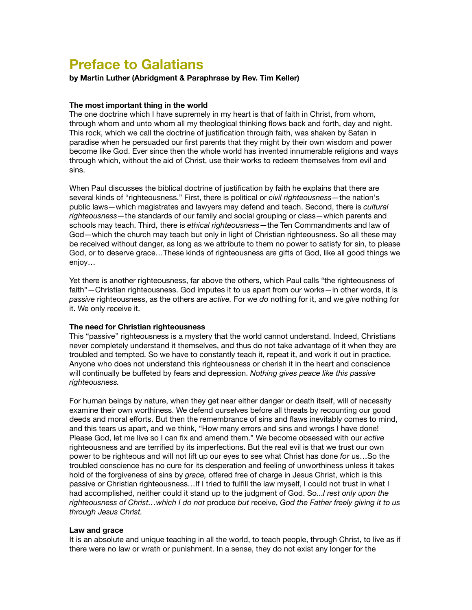# **Preface to Galatians**

# **by Martin Luther (Abridgment & Paraphrase by Rev. Tim Keller)**

## **The most important thing in the world**

The one doctrine which I have supremely in my heart is that of faith in Christ, from whom, through whom and unto whom all my theological thinking flows back and forth, day and night. This rock, which we call the doctrine of justification through faith, was shaken by Satan in paradise when he persuaded our first parents that they might by their own wisdom and power become like God. Ever since then the whole world has invented innumerable religions and ways through which, without the aid of Christ, use their works to redeem themselves from evil and sins.

When Paul discusses the biblical doctrine of justification by faith he explains that there are several kinds of "righteousness." First, there is political or *civil righteousness—*the nation's public laws—which magistrates and lawyers may defend and teach. Second, there is *cultural righteousness—*the standards of our family and social grouping or class—which parents and schools may teach. Third, there is *ethical righteousness—*the Ten Commandments and law of God—which the church may teach but only in light of Christian righteousness. So all these may be received without danger, as long as we attribute to them no power to satisfy for sin, to please God, or to deserve grace…These kinds of righteousness are gifts of God, like all good things we enjoy…

Yet there is another righteousness, far above the others, which Paul calls "the righteousness of faith"—Christian righteousness. God imputes it to us apart from our works—in other words, it is *passive* righteousness, as the others are *active.* For we *do* nothing for it, and we *give* nothing for it. We only receive it.

#### **The need for Christian righteousness**

This "passive" righteousness is a mystery that the world cannot understand. Indeed, Christians never completely understand it themselves, and thus do not take advantage of it when they are troubled and tempted. So we have to constantly teach it, repeat it, and work it out in practice. Anyone who does not understand this righteousness or cherish it in the heart and conscience will continually be buffeted by fears and depression. *Nothing gives peace like this passive righteousness.*

For human beings by nature, when they get near either danger or death itself, will of necessity examine their own worthiness. We defend ourselves before all threats by recounting our good deeds and moral efforts. But then the remembrance of sins and flaws inevitably comes to mind, and this tears us apart, and we think, "How many errors and sins and wrongs I have done! Please God, let me live so I can fix and amend them." We become obsessed with our *active*  righteousness and are terrified by its imperfections. But the real evil is that we trust our own power to be righteous and will not lift up our eyes to see what Christ has done *for* us…So the troubled conscience has no cure for its desperation and feeling of unworthiness unless it takes hold of the forgiveness of sins by *grace,* offered free of charge in Jesus Christ, which is this passive or Christian righteousness…If I tried to fulfill the law myself, I could not trust in what I had accomplished, neither could it stand up to the judgment of God. So...*I rest only upon the righteousness of Christ…which I do not* produce *but* receive, *God the Father freely giving it to us through Jesus Christ.*

#### **Law and grace**

It is an absolute and unique teaching in all the world, to teach people, through Christ, to live as if there were no law or wrath or punishment. In a sense, they do not exist any longer for the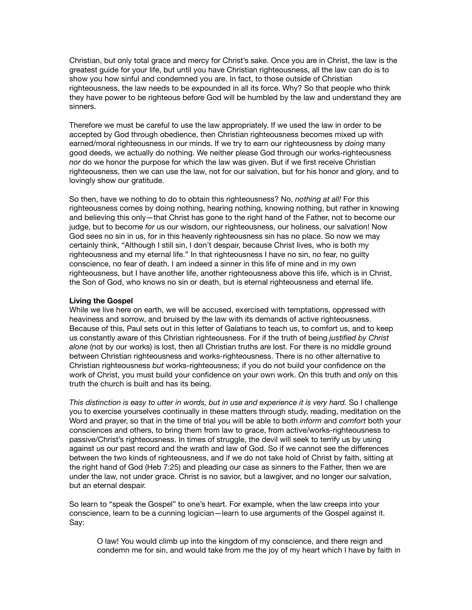Christian, but only total grace and mercy for Christ's sake. Once you are in Christ, the law is the greatest guide for your life, but until you have Christian righteousness, all the law can do is to show you how sinful and condemned you are. In fact, to those outside of Christian righteousness, the law needs to be expounded in all its force. Why? So that people who think they have power to be righteous before God will be humbled by the law and understand they are sinners.

Therefore we must be careful to use the law appropriately. If we used the law in order to be accepted by God through obedience, then Christian righteousness becomes mixed up with earned/moral righteousness in our minds. If we try to earn our righteousness by *doing* many good deeds, we actually do nothing. We neither please God through our works-righteousness *nor* do we honor the purpose for which the law was given. But if we first receive Christian righteousness, then we can use the law, not for our salvation, but for his honor and glory, and to lovingly show our gratitude.

So then, have we nothing to do to obtain this righteousness? No, *nothing at all!* For this righteousness comes by doing nothing, hearing nothing, knowing nothing, but rather in knowing and believing this only—that Christ has gone to the right hand of the Father, not to become our judge, but to become *for* us our wisdom, our righteousness, our holiness, our salvation! Now God sees no sin in us, for in this heavenly righteousness sin has no place. So now we may certainly think, "Although I still sin, I don't despair, because Christ lives, who is both my righteousness and my eternal life." In that righteousness I have no sin, no fear, no guilty conscience, no fear of death. I am indeed a sinner in this life of mine and in my own righteousness, but I have another life, another righteousness above this life, which is in Christ, the Son of God, who knows no sin or death, but is eternal righteousness and eternal life.

## **Living the Gospel**

While we live here on earth, we will be accused, exercised with temptations, oppressed with heaviness and sorrow, and bruised by the law with its demands of active righteousness. Because of this, Paul sets out in this letter of Galatians to teach us, to comfort us, and to keep us constantly aware of this Christian righteousness. For if the truth of being *justified by Christ alone* (not by our works) is lost, then all Christian truths are lost. For there is no middle ground between Christian righteousness and works-righteousness. There is no other alternative to Christian righteousness *but* works-righteousness; if you do not build your confidence on the work of Christ, you must build your confidence on your own work. On this truth and *only* on this truth the church is built and has its being.

*This distinction is easy to utter in words, but in use and experience it is very hard.* So I challenge you to exercise yourselves continually in these matters through study, reading, meditation on the Word and prayer, so that in the time of trial you will be able to both *inform* and *comfort* both your consciences and others, to bring them from law to grace, from active/works-righteousness to passive/Christ's righteousness. In times of struggle, the devil will seek to terrify us by using against us our past record and the wrath and law of God. So if we cannot see the differences between the two kinds of righteousness, and if we do not take hold of Christ by faith, sitting at the right hand of God (Heb 7:25) and pleading our case as sinners to the Father, then we are under the law, not under grace. Christ is no savior, but a lawgiver, and no longer our salvation, but an eternal despair.

So learn to "speak the Gospel" to one's heart. For example, when the law creeps into your conscience, learn to be a cunning logician—learn to use arguments of the Gospel against it. Say:

O law! You would climb up into the kingdom of my conscience, and there reign and condemn me for sin, and would take from me the joy of my heart which I have by faith in